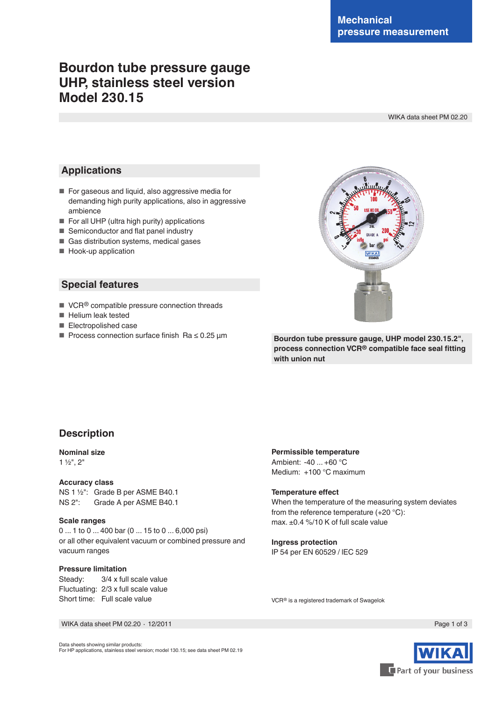# **Bourdon tube pressure gauge UHP, stainless steel version Model 230.15**

WIKA data sheet PM 02.20

## **Applications**

- For gaseous and liquid, also aggressive media for demanding high purity applications, also in aggressive ambience
- For all UHP (ultra high purity) applications
- Semiconductor and flat panel industry
- Gas distribution systems, medical gases
- Hook-up application

## **Special features**

- VCR<sup>®</sup> compatible pressure connection threads
- Helium leak tested
- Electropolished case
- Process connection surface finish Ra ≤ 0.25 µm



**Bourdon tube pressure gauge, UHP model 230.15.2", process connection VCR® compatible face seal fitting with union nut**

## **Description**

#### **Nominal size**

1 ½", 2"

#### **Accuracy class**

NS 1 ½": Grade B per ASME B40.1 NS 2": Grade A per ASME B40.1

#### **Scale ranges**

0 ... 1 to 0 ... 400 bar (0 ... 15 to 0 ... 6,000 psi) or all other equivalent vacuum or combined pressure and vacuum ranges

#### **Pressure limitation**

Steady: 3/4 x full scale value Fluctuating: 2/3 x full scale value Short time: Full scale value

#### **Permissible temperature**

Ambient: -40 ... +60 °C Medium: +100 °C maximum

#### **Temperature effect**

When the temperature of the measuring system deviates from the reference temperature (+20 °C): max. ±0.4 %/10 K of full scale value

# **Ingress protection**

IP 54 per EN 60529 / lEC 529

VCR® is a registered trademark of Swagelok

WIKA data sheet PM 02.20 ⋅ 12/2011 Page 1 of 3

Data sheets showing similar products: For HP applications, stainless steel version; model 130.15; see data sheet PM 02.19

Part of your business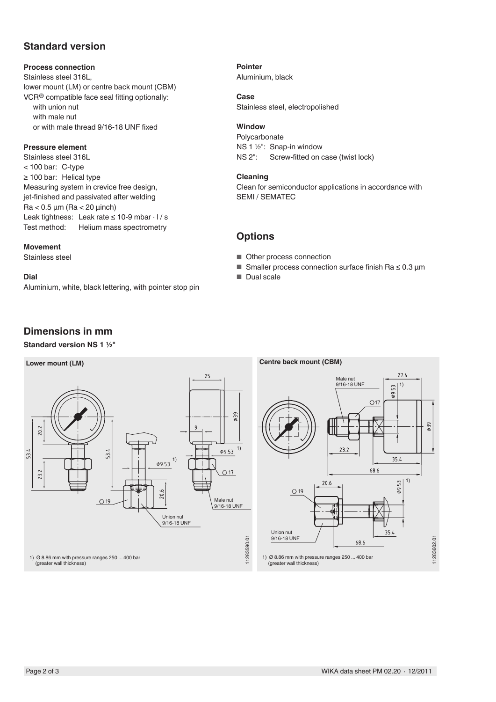## **Standard version**

#### **Process connection**

Stainless steel 316L, lower mount (LM) or centre back mount (CBM) VCR® compatible face seal fitting optionally: with union nut with male nut or with male thread 9/16-18 UNF fixed

### **Pressure element**

Stainless steel 316L < 100 bar: C-type ≥ 100 bar: Helical type Measuring system in crevice free design, jet-finished and passivated after welding  $Ra < 0.5 \mu m$  (Ra  $< 20 \mu n$ ch) Leak tightness: Leak rate  $\leq 10$ -9 mbar  $\cdot$  l / s Test method: Helium mass spectrometry

#### **Movement**

Stainless steel

### **Dial**

Aluminium, white, black lettering, with pointer stop pin

## **Dimensions in mm**

## **Standard version NS 1 ½"**



**Pointer**

Aluminium, black

### **Case**

Stainless steel, electropolished

## **Window**

Polycarbonate NS 1 ½": Snap-in window NS 2": Screw-fitted on case (twist lock)

#### **Cleaning**

Clean for semiconductor applications in accordance with SEMI / SEMATEC

## **Options**

- Other process connection
- Smaller process connection surface finish Ra  $\leq 0.3$  µm
- Dual scale